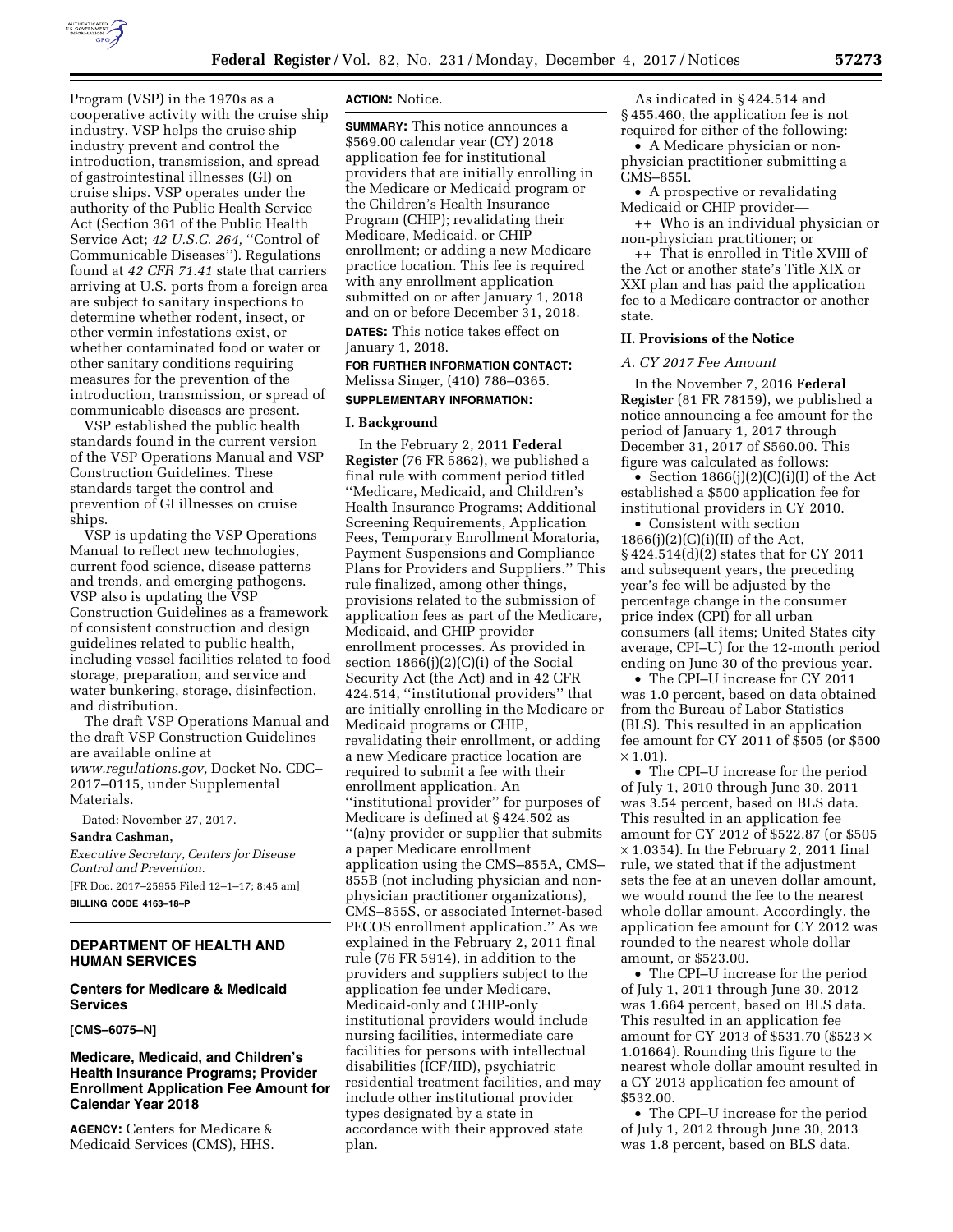

Program (VSP) in the 1970s as a cooperative activity with the cruise ship industry. VSP helps the cruise ship industry prevent and control the introduction, transmission, and spread of gastrointestinal illnesses (GI) on cruise ships. VSP operates under the authority of the Public Health Service Act (Section 361 of the Public Health Service Act; 42 U.S.C. 264, "Control of Communicable Diseases''). Regulations found at *42 CFR 71.41* state that carriers arriving at U.S. ports from a foreign area are subject to sanitary inspections to determine whether rodent, insect, or other vermin infestations exist, or whether contaminated food or water or other sanitary conditions requiring measures for the prevention of the introduction, transmission, or spread of communicable diseases are present.

VSP established the public health standards found in the current version of the VSP Operations Manual and VSP Construction Guidelines. These standards target the control and prevention of GI illnesses on cruise ships.

VSP is updating the VSP Operations Manual to reflect new technologies, current food science, disease patterns and trends, and emerging pathogens. VSP also is updating the VSP Construction Guidelines as a framework of consistent construction and design guidelines related to public health, including vessel facilities related to food storage, preparation, and service and water bunkering, storage, disinfection, and distribution.

The draft VSP Operations Manual and the draft VSP Construction Guidelines are available online at *[www.regulations.gov,](http://www.regulations.gov)* Docket No. CDC– 2017–0115, under Supplemental Materials.

Dated: November 27, 2017.

**Sandra Cashman,** 

*Executive Secretary, Centers for Disease Control and Prevention.* 

[FR Doc. 2017–25955 Filed 12–1–17; 8:45 am] **BILLING CODE 4163–18–P** 

## **DEPARTMENT OF HEALTH AND HUMAN SERVICES**

# **Centers for Medicare & Medicaid Services**

#### **[CMS–6075–N]**

# **Medicare, Medicaid, and Children's Health Insurance Programs; Provider Enrollment Application Fee Amount for Calendar Year 2018**

**AGENCY:** Centers for Medicare & Medicaid Services (CMS), HHS.

#### **ACTION:** Notice.

**SUMMARY:** This notice announces a \$569.00 calendar year (CY) 2018 application fee for institutional providers that are initially enrolling in the Medicare or Medicaid program or the Children's Health Insurance Program (CHIP); revalidating their Medicare, Medicaid, or CHIP enrollment; or adding a new Medicare practice location. This fee is required with any enrollment application submitted on or after January 1, 2018 and on or before December 31, 2018. **DATES:** This notice takes effect on January 1, 2018.

**FOR FURTHER INFORMATION CONTACT:**  Melissa Singer, (410) 786–0365.

# **SUPPLEMENTARY INFORMATION:**

#### **I. Background**

In the February 2, 2011 **Federal Register** (76 FR 5862), we published a final rule with comment period titled ''Medicare, Medicaid, and Children's Health Insurance Programs; Additional Screening Requirements, Application Fees, Temporary Enrollment Moratoria, Payment Suspensions and Compliance Plans for Providers and Suppliers.'' This rule finalized, among other things, provisions related to the submission of application fees as part of the Medicare, Medicaid, and CHIP provider enrollment processes. As provided in section 1866(j)(2)(C)(i) of the Social Security Act (the Act) and in 42 CFR 424.514, ''institutional providers'' that are initially enrolling in the Medicare or Medicaid programs or CHIP, revalidating their enrollment, or adding a new Medicare practice location are required to submit a fee with their enrollment application. An ''institutional provider'' for purposes of Medicare is defined at § 424.502 as ''(a)ny provider or supplier that submits a paper Medicare enrollment application using the CMS–855A, CMS– 855B (not including physician and nonphysician practitioner organizations), CMS–855S, or associated Internet-based PECOS enrollment application.'' As we explained in the February 2, 2011 final rule (76 FR 5914), in addition to the providers and suppliers subject to the application fee under Medicare, Medicaid-only and CHIP-only institutional providers would include nursing facilities, intermediate care facilities for persons with intellectual disabilities (ICF/IID), psychiatric residential treatment facilities, and may include other institutional provider types designated by a state in accordance with their approved state plan.

As indicated in § 424.514 and § 455.460, the application fee is not required for either of the following:

• A Medicare physician or nonphysician practitioner submitting a CMS–855I.

• A prospective or revalidating Medicaid or CHIP provider—

++ Who is an individual physician or non-physician practitioner; or

++ That is enrolled in Title XVIII of the Act or another state's Title XIX or XXI plan and has paid the application fee to a Medicare contractor or another state.

#### **II. Provisions of the Notice**

## *A. CY 2017 Fee Amount*

In the November 7, 2016 **Federal Register** (81 FR 78159), we published a notice announcing a fee amount for the period of January 1, 2017 through December 31, 2017 of \$560.00. This figure was calculated as follows:

• Section 1866(j)(2)(C)(i)(I) of the Act established a \$500 application fee for institutional providers in CY 2010.

• Consistent with section  $1866(j)(2)(C)(i)(II)$  of the Act, § 424.514(d)(2) states that for CY 2011 and subsequent years, the preceding year's fee will be adjusted by the percentage change in the consumer price index (CPI) for all urban consumers (all items; United States city average, CPI–U) for the 12-month period ending on June 30 of the previous year.

• The CPI–U increase for CY 2011 was 1.0 percent, based on data obtained from the Bureau of Labor Statistics (BLS). This resulted in an application fee amount for CY 2011 of \$505 (or \$500  $\times$  1.01).

• The CPI–U increase for the period of July 1, 2010 through June 30, 2011 was 3.54 percent, based on BLS data. This resulted in an application fee amount for CY 2012 of \$522.87 (or \$505  $\times$  1.0354). In the February 2, 2011 final rule, we stated that if the adjustment sets the fee at an uneven dollar amount, we would round the fee to the nearest whole dollar amount. Accordingly, the application fee amount for CY 2012 was rounded to the nearest whole dollar amount, or \$523.00.

• The CPI–U increase for the period of July 1, 2011 through June 30, 2012 was 1.664 percent, based on BLS data. This resulted in an application fee amount for CY 2013 of \$531.70 (\$523  $\times$ 1.01664). Rounding this figure to the nearest whole dollar amount resulted in a CY 2013 application fee amount of \$532.00.

• The CPI–U increase for the period of July 1, 2012 through June 30, 2013 was 1.8 percent, based on BLS data.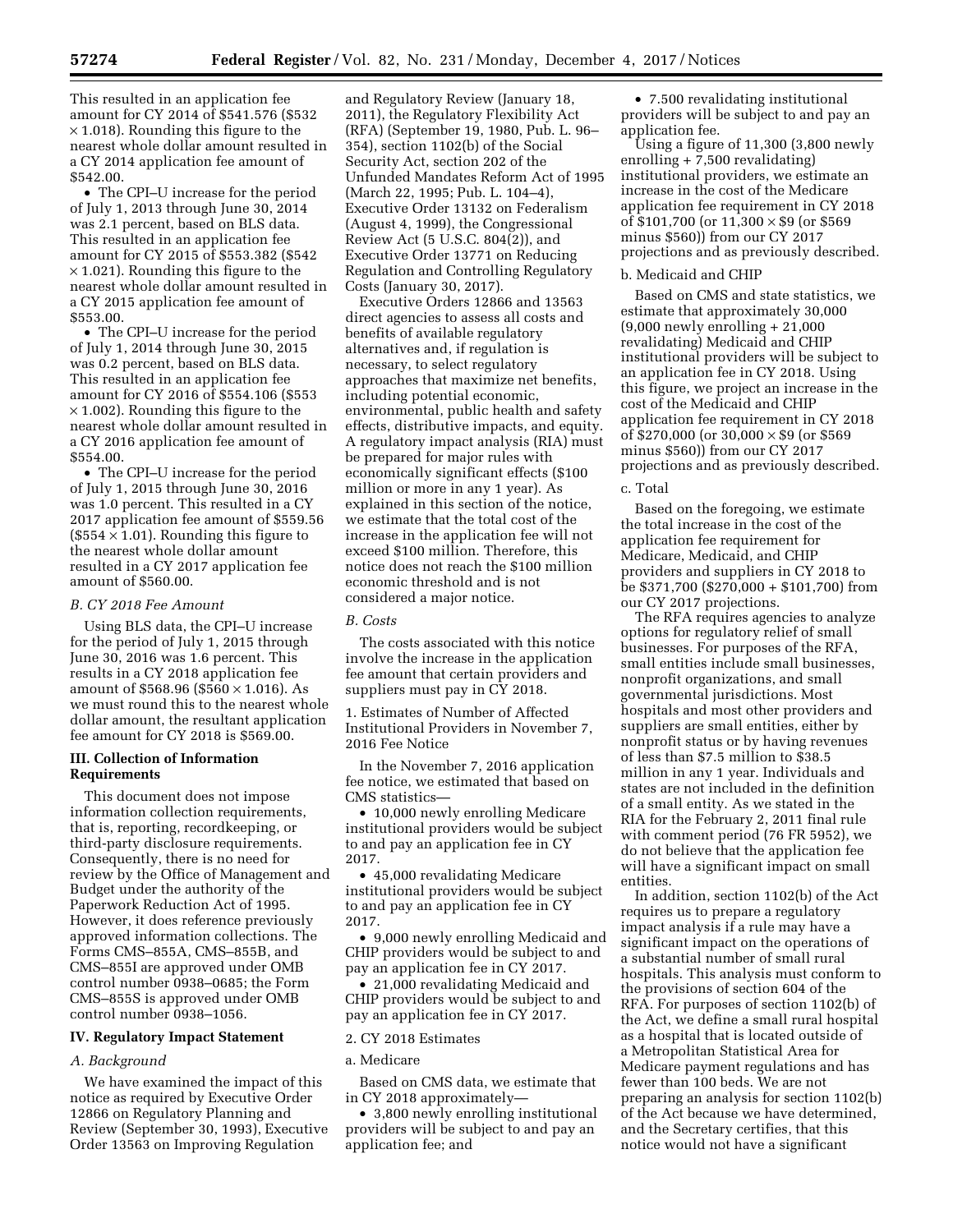This resulted in an application fee amount for CY 2014 of \$541.576 (\$532  $\times$  1.018). Rounding this figure to the nearest whole dollar amount resulted in a CY 2014 application fee amount of \$542.00.

• The CPI–U increase for the period of July 1, 2013 through June 30, 2014 was 2.1 percent, based on BLS data. This resulted in an application fee amount for CY 2015 of \$553.382 (\$542  $\times$  1.021). Rounding this figure to the nearest whole dollar amount resulted in a CY 2015 application fee amount of \$553.00.

• The CPI–U increase for the period of July 1, 2014 through June 30, 2015 was 0.2 percent, based on BLS data. This resulted in an application fee amount for CY 2016 of \$554.106 (\$553  $\times$  1.002). Rounding this figure to the nearest whole dollar amount resulted in a CY 2016 application fee amount of \$554.00.

• The CPI–U increase for the period of July 1, 2015 through June 30, 2016 was 1.0 percent. This resulted in a CY 2017 application fee amount of \$559.56  $($554 \times 1.01)$ . Rounding this figure to the nearest whole dollar amount resulted in a CY 2017 application fee amount of \$560.00.

#### *B. CY 2018 Fee Amount*

Using BLS data, the CPI–U increase for the period of July 1, 2015 through June 30, 2016 was 1.6 percent. This results in a CY 2018 application fee amount of \$568.96 (\$560  $\times$  1.016). As we must round this to the nearest whole dollar amount, the resultant application fee amount for CY 2018 is \$569.00.

## **III. Collection of Information Requirements**

This document does not impose information collection requirements, that is, reporting, recordkeeping, or third-party disclosure requirements. Consequently, there is no need for review by the Office of Management and Budget under the authority of the Paperwork Reduction Act of 1995. However, it does reference previously approved information collections. The Forms CMS–855A, CMS–855B, and CMS–855I are approved under OMB control number 0938–0685; the Form CMS–855S is approved under OMB control number 0938–1056.

#### **IV. Regulatory Impact Statement**

#### *A. Background*

We have examined the impact of this notice as required by Executive Order 12866 on Regulatory Planning and Review (September 30, 1993), Executive Order 13563 on Improving Regulation

and Regulatory Review (January 18, 2011), the Regulatory Flexibility Act (RFA) (September 19, 1980, Pub. L. 96– 354), section 1102(b) of the Social Security Act, section 202 of the Unfunded Mandates Reform Act of 1995 (March 22, 1995; Pub. L. 104–4), Executive Order 13132 on Federalism (August 4, 1999), the Congressional Review Act (5 U.S.C. 804(2)), and Executive Order 13771 on Reducing Regulation and Controlling Regulatory Costs (January 30, 2017).

Executive Orders 12866 and 13563 direct agencies to assess all costs and benefits of available regulatory alternatives and, if regulation is necessary, to select regulatory approaches that maximize net benefits, including potential economic, environmental, public health and safety effects, distributive impacts, and equity. A regulatory impact analysis (RIA) must be prepared for major rules with economically significant effects (\$100 million or more in any 1 year). As explained in this section of the notice, we estimate that the total cost of the increase in the application fee will not exceed \$100 million. Therefore, this notice does not reach the \$100 million economic threshold and is not considered a major notice.

#### *B. Costs*

The costs associated with this notice involve the increase in the application fee amount that certain providers and suppliers must pay in CY 2018.

1. Estimates of Number of Affected Institutional Providers in November 7, 2016 Fee Notice

In the November 7, 2016 application fee notice, we estimated that based on CMS statistics—

• 10,000 newly enrolling Medicare institutional providers would be subject to and pay an application fee in CY 2017.

• 45,000 revalidating Medicare institutional providers would be subject to and pay an application fee in CY 2017.

• 9,000 newly enrolling Medicaid and CHIP providers would be subject to and pay an application fee in CY 2017.

• 21,000 revalidating Medicaid and CHIP providers would be subject to and pay an application fee in CY 2017.

## 2. CY 2018 Estimates

# a. Medicare

Based on CMS data, we estimate that in CY 2018 approximately—

• 3,800 newly enrolling institutional providers will be subject to and pay an application fee; and

• 7.500 revalidating institutional providers will be subject to and pay an application fee.

Using a figure of 11,300 (3,800 newly enrolling  $+7,500$  revalidating) institutional providers, we estimate an increase in the cost of the Medicare application fee requirement in CY 2018 of  $$101,700$  (or  $11,300 \times $9$  (or \$569 minus \$560)) from our CY 2017 projections and as previously described.

#### b. Medicaid and CHIP

Based on CMS and state statistics, we estimate that approximately 30,000 (9,000 newly enrolling + 21,000 revalidating) Medicaid and CHIP institutional providers will be subject to an application fee in CY 2018. Using this figure, we project an increase in the cost of the Medicaid and CHIP application fee requirement in CY 2018 of  $$270,000$  (or  $30,000 \times $9$  (or \$569 minus \$560)) from our CY 2017 projections and as previously described.

#### c. Total

Based on the foregoing, we estimate the total increase in the cost of the application fee requirement for Medicare, Medicaid, and CHIP providers and suppliers in CY 2018 to be \$371,700 (\$270,000 + \$101,700) from our CY 2017 projections.

The RFA requires agencies to analyze options for regulatory relief of small businesses. For purposes of the RFA, small entities include small businesses, nonprofit organizations, and small governmental jurisdictions. Most hospitals and most other providers and suppliers are small entities, either by nonprofit status or by having revenues of less than \$7.5 million to \$38.5 million in any 1 year. Individuals and states are not included in the definition of a small entity. As we stated in the RIA for the February 2, 2011 final rule with comment period (76 FR 5952), we do not believe that the application fee will have a significant impact on small entities.

In addition, section 1102(b) of the Act requires us to prepare a regulatory impact analysis if a rule may have a significant impact on the operations of a substantial number of small rural hospitals. This analysis must conform to the provisions of section 604 of the RFA. For purposes of section 1102(b) of the Act, we define a small rural hospital as a hospital that is located outside of a Metropolitan Statistical Area for Medicare payment regulations and has fewer than 100 beds. We are not preparing an analysis for section 1102(b) of the Act because we have determined, and the Secretary certifies, that this notice would not have a significant